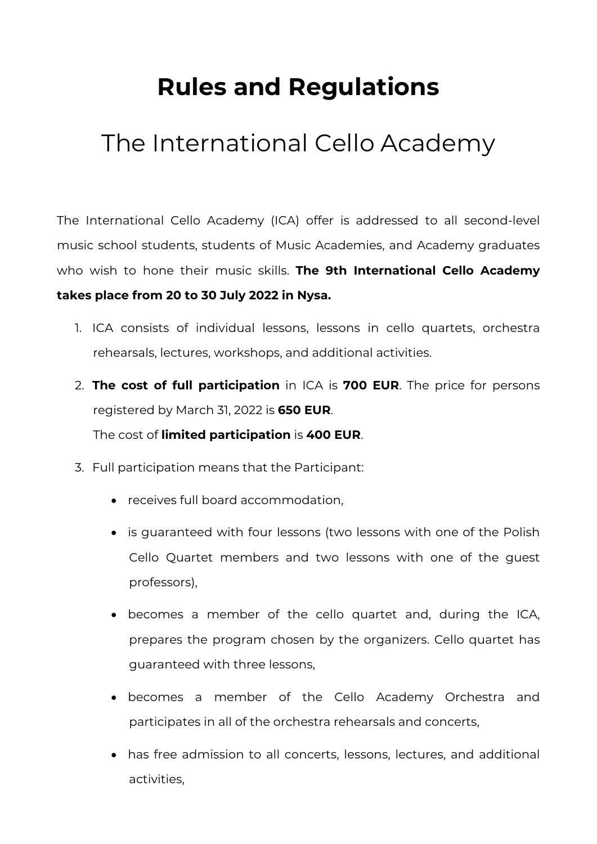# **Rules and Regulations**

## The International Cello Academy

The International Cello Academy (ICA) offer is addressed to all second-level music school students, students of Music Academies, and Academy graduates who wish to hone their music skills. **The 9th International Cello Academy takes place from 20 to 30 July 2022 in Nysa.** 

- 1. ICA consists of individual lessons, lessons in cello quartets, orchestra rehearsals, lectures, workshops, and additional activities.
- 2. **The cost of full participation** in ICA is **700 EUR**. The price for persons registered by March 31, 2022 is **650 EUR**. The cost of **limited participation** is **400 EUR**.
- 3. Full participation means that the Participant:
	- receives full board accommodation,
	- is guaranteed with four lessons (two lessons with one of the Polish Cello Quartet members and two lessons with one of the guest professors),
	- becomes a member of the cello quartet and, during the ICA, prepares the program chosen by the organizers. Cello quartet has guaranteed with three lessons,
	- becomes a member of the Cello Academy Orchestra and participates in all of the orchestra rehearsals and concerts,
	- has free admission to all concerts, lessons, lectures, and additional activities,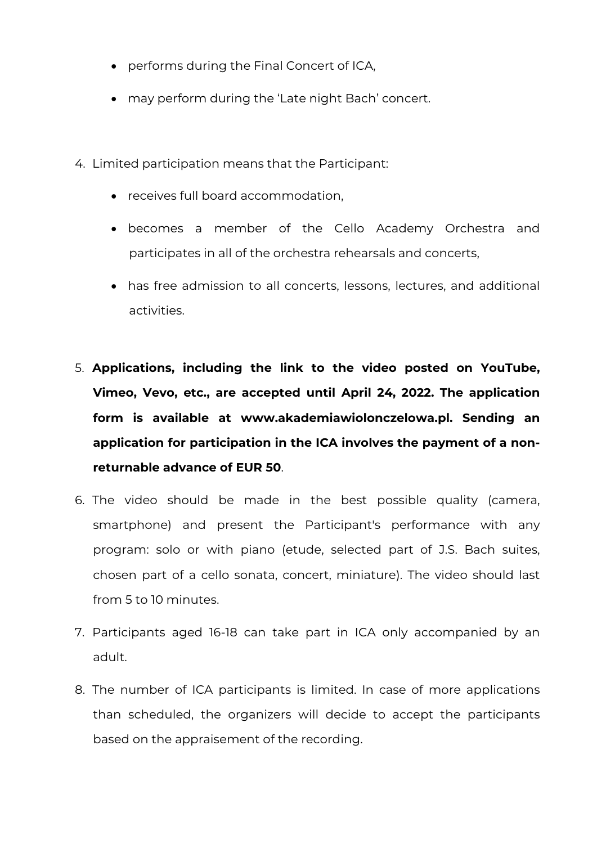- performs during the Final Concert of ICA,
- may perform during the 'Late night Bach' concert.
- 4. Limited participation means that the Participant:
	- receives full board accommodation,
	- becomes a member of the Cello Academy Orchestra and participates in all of the orchestra rehearsals and concerts,
	- has free admission to all concerts, lessons, lectures, and additional activities.
- 5. **Applications, including the link to the video posted on YouTube, Vimeo, Vevo, etc., are accepted until April 24, 2022. The application form is available at www.akademiawiolonczelowa.pl. Sending an application for participation in the ICA involves the payment of a nonreturnable advance of EUR 50**.
- 6. The video should be made in the best possible quality (camera, smartphone) and present the Participant's performance with any program: solo or with piano (etude, selected part of J.S. Bach suites, chosen part of a cello sonata, concert, miniature). The video should last from 5 to 10 minutes.
- 7. Participants aged 16-18 can take part in ICA only accompanied by an adult.
- 8. The number of ICA participants is limited. In case of more applications than scheduled, the organizers will decide to accept the participants based on the appraisement of the recording.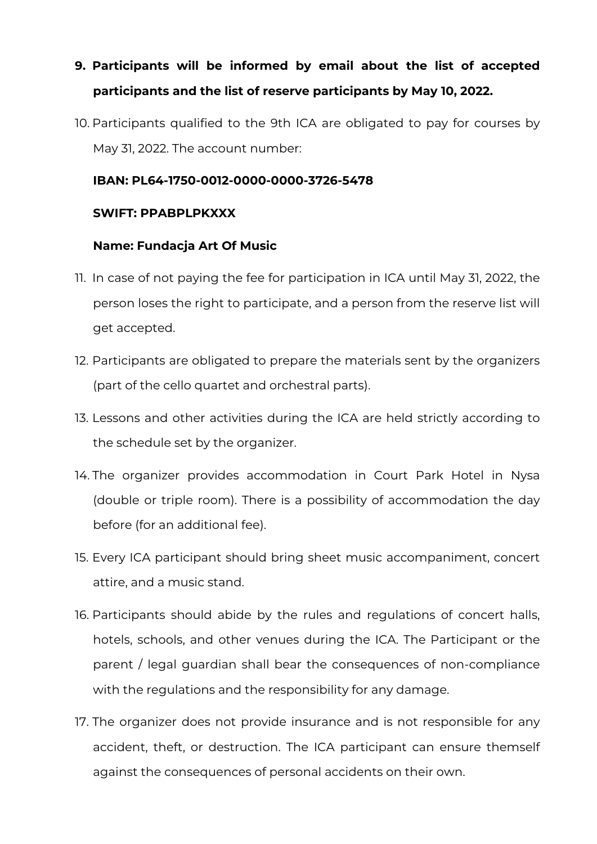### **9. Participants will be informed by email about the list of accepted participants and the list of reserve participants by May 10, 2022.**

10. Participants qualified to the 9th ICA are obligated to pay for courses by May 31, 2022. The account number:

#### **IBAN: PL64-1750-0012-0000-0000-3726-5478**

#### **SWIFT: PPABPLPKXXX**

#### **Name: Fundacja Art Of Music**

- 11. In case of not paying the fee for participation in ICA until May 31, 2022, the person loses the right to participate, and a person from the reserve list will get accepted.
- 12. Participants are obligated to prepare the materials sent by the organizers (part of the cello quartet and orchestral parts).
- 13. Lessons and other activities during the ICA are held strictly according to the schedule set by the organizer.
- 14. The organizer provides accommodation in Court Park Hotel in Nysa (double or triple room). There is a possibility of accommodation the day before (for an additional fee).
- 15. Every ICA participant should bring sheet music accompaniment, concert attire, and a music stand.
- 16. Participants should abide by the rules and regulations of concert halls, hotels, schools, and other venues during the ICA. The Participant or the parent / legal guardian shall bear the consequences of non-compliance with the regulations and the responsibility for any damage.
- 17. The organizer does not provide insurance and is not responsible for any accident, theft, or destruction. The ICA participant can ensure themself against the consequences of personal accidents on their own.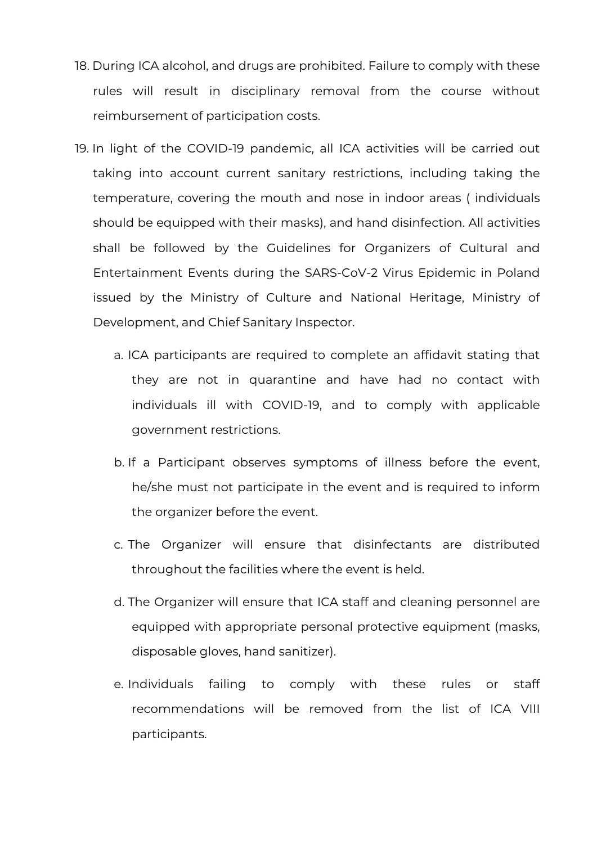- 18. During ICA alcohol, and drugs are prohibited. Failure to comply with these rules will result in disciplinary removal from the course without reimbursement of participation costs.
- 19. In light of the COVID-19 pandemic, all ICA activities will be carried out taking into account current sanitary restrictions, including taking the temperature, covering the mouth and nose in indoor areas ( individuals should be equipped with their masks), and hand disinfection. All activities shall be followed by the Guidelines for Organizers of Cultural and Entertainment Events during the SARS-CoV-2 Virus Epidemic in Poland issued by the Ministry of Culture and National Heritage, Ministry of Development, and Chief Sanitary Inspector.
	- a. ICA participants are required to complete an affidavit stating that they are not in quarantine and have had no contact with individuals ill with COVID-19, and to comply with applicable government restrictions.
	- b. If a Participant observes symptoms of illness before the event, he/she must not participate in the event and is required to inform the organizer before the event.
	- c. The Organizer will ensure that disinfectants are distributed throughout the facilities where the event is held.
	- d. The Organizer will ensure that ICA staff and cleaning personnel are equipped with appropriate personal protective equipment (masks, disposable gloves, hand sanitizer).
	- e. Individuals failing to comply with these rules or staff recommendations will be removed from the list of ICA VIII participants.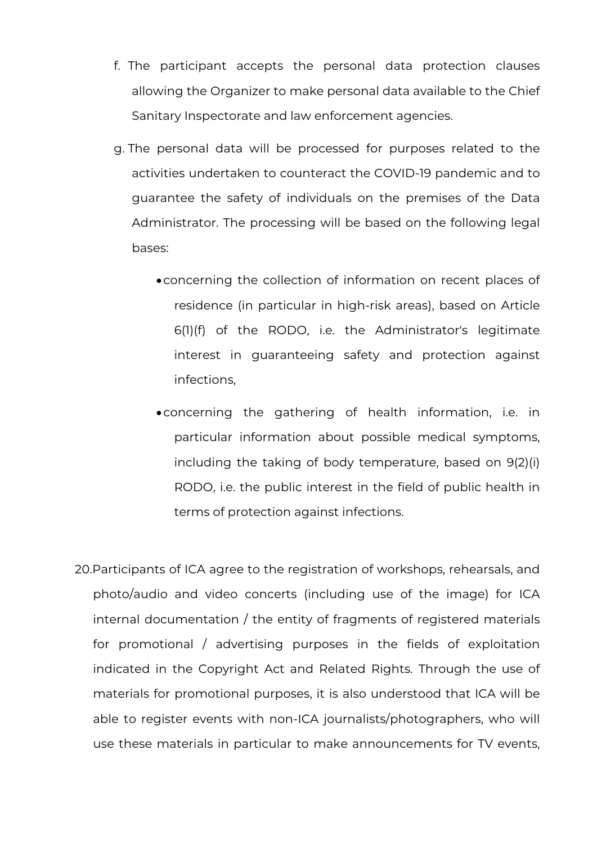- f. The participant accepts the personal data protection clauses allowing the Organizer to make personal data available to the Chief Sanitary Inspectorate and law enforcement agencies.
- g. The personal data will be processed for purposes related to the activities undertaken to counteract the COVID-19 pandemic and to guarantee the safety of individuals on the premises of the Data Administrator. The processing will be based on the following legal bases:
	- •concerning the collection of information on recent places of residence (in particular in high-risk areas), based on Article 6(1)(f) of the RODO, i.e. the Administrator's legitimate interest in guaranteeing safety and protection against infections,
	- •concerning the gathering of health information, i.e. in particular information about possible medical symptoms, including the taking of body temperature, based on 9(2)(i) RODO, i.e. the public interest in the field of public health in terms of protection against infections.
- 20.Participants of ICA agree to the registration of workshops, rehearsals, and photo/audio and video concerts (including use of the image) for ICA internal documentation / the entity of fragments of registered materials for promotional / advertising purposes in the fields of exploitation indicated in the Copyright Act and Related Rights. Through the use of materials for promotional purposes, it is also understood that ICA will be able to register events with non-ICA journalists/photographers, who will use these materials in particular to make announcements for TV events,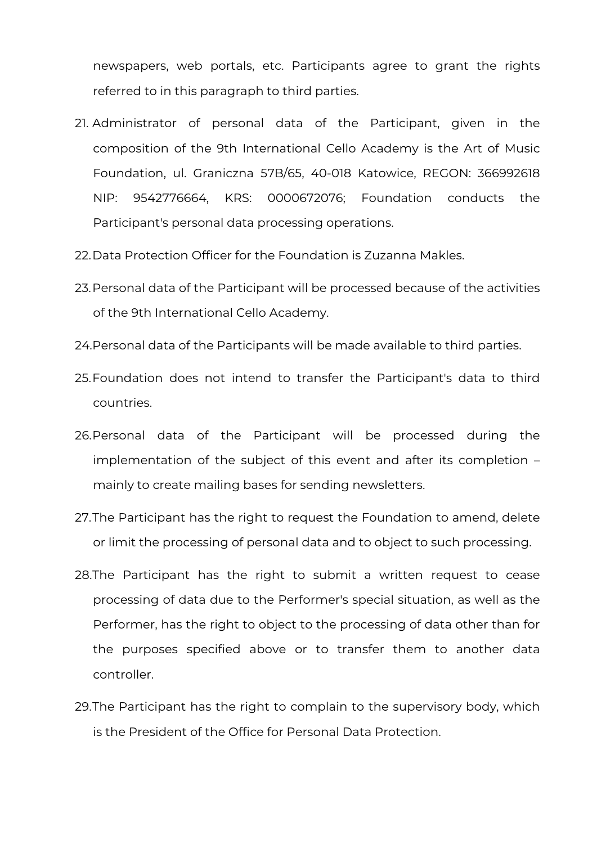newspapers, web portals, etc. Participants agree to grant the rights referred to in this paragraph to third parties.

- 21. Administrator of personal data of the Participant, given in the composition of the 9th International Cello Academy is the Art of Music Foundation, ul. Graniczna 57B/65, 40-018 Katowice, REGON: 366992618 NIP: 9542776664, KRS: 0000672076; Foundation conducts the Participant's personal data processing operations.
- 22.Data Protection Officer for the Foundation is Zuzanna Makles.
- 23.Personal data of the Participant will be processed because of the activities of the 9th International Cello Academy.
- 24.Personal data of the Participants will be made available to third parties.
- 25.Foundation does not intend to transfer the Participant's data to third countries.
- 26.Personal data of the Participant will be processed during the implementation of the subject of this event and after its completion – mainly to create mailing bases for sending newsletters.
- 27.The Participant has the right to request the Foundation to amend, delete or limit the processing of personal data and to object to such processing.
- 28.The Participant has the right to submit a written request to cease processing of data due to the Performer's special situation, as well as the Performer, has the right to object to the processing of data other than for the purposes specified above or to transfer them to another data controller.
- 29.The Participant has the right to complain to the supervisory body, which is the President of the Office for Personal Data Protection.